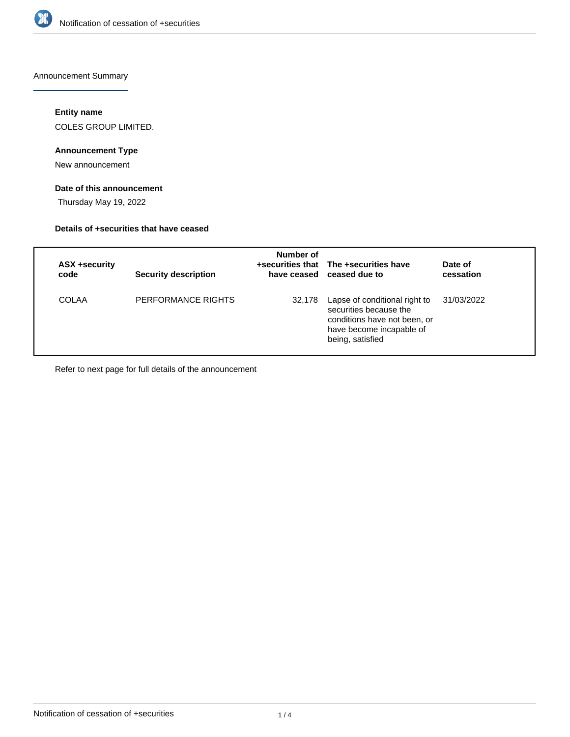

Announcement Summary

## **Entity name**

COLES GROUP LIMITED.

# **Announcement Type**

New announcement

# **Date of this announcement**

Thursday May 19, 2022

### **Details of +securities that have ceased**

| ASX +security<br>code | <b>Security description</b> | Number of | +securities that The +securities have<br>have ceased ceased due to                                                                      | Date of<br>cessation |
|-----------------------|-----------------------------|-----------|-----------------------------------------------------------------------------------------------------------------------------------------|----------------------|
| COLAA                 | PERFORMANCE RIGHTS          | 32,178    | Lapse of conditional right to<br>securities because the<br>conditions have not been, or<br>have become incapable of<br>being, satisfied | 31/03/2022           |

Refer to next page for full details of the announcement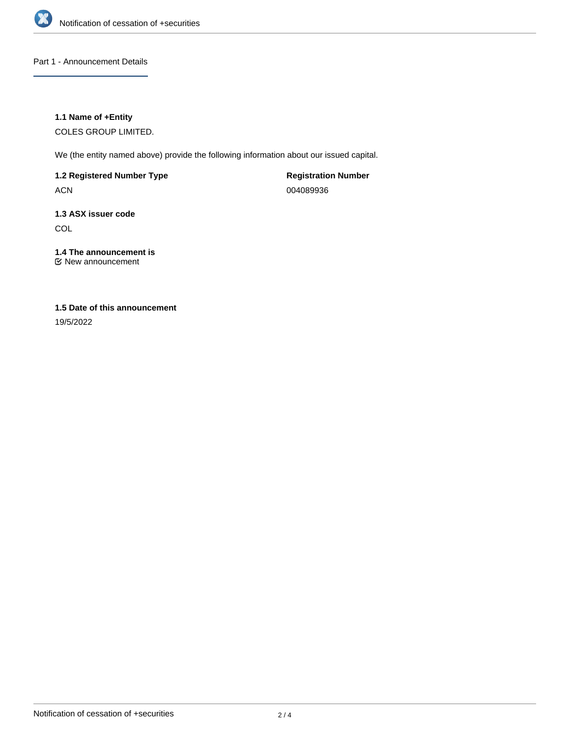

## Part 1 - Announcement Details

## **1.1 Name of +Entity**

COLES GROUP LIMITED.

We (the entity named above) provide the following information about our issued capital.

**1.2 Registered Number Type**

ACN

**Registration Number** 004089936

# **1.3 ASX issuer code COL**

**1.4 The announcement is** New announcement

# **1.5 Date of this announcement**

19/5/2022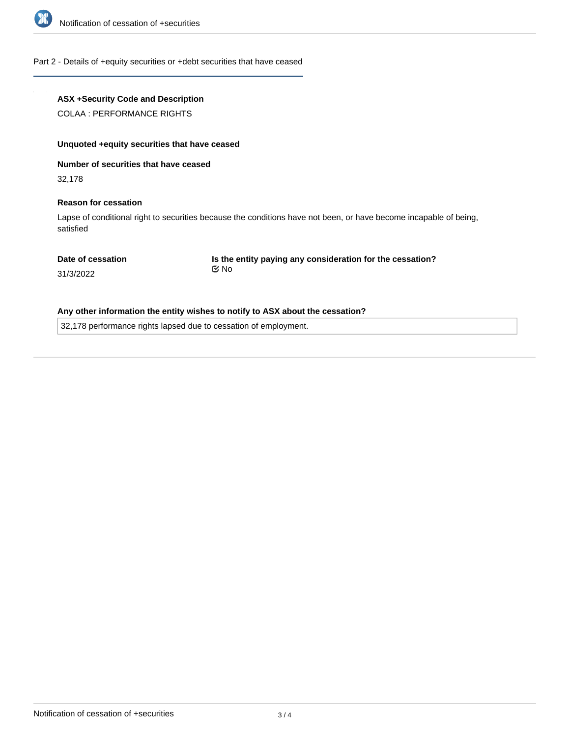

### Part 2 - Details of +equity securities or +debt securities that have ceased

## **ASX +Security Code and Description**

COLAA : PERFORMANCE RIGHTS

#### **Unquoted +equity securities that have ceased**

**Number of securities that have ceased**

32,178

#### **Reason for cessation**

Lapse of conditional right to securities because the conditions have not been, or have become incapable of being, satisfied

#### **Date of cessation**

**Is the entity paying any consideration for the cessation?** No

31/3/2022

## **Any other information the entity wishes to notify to ASX about the cessation?**

32,178 performance rights lapsed due to cessation of employment.